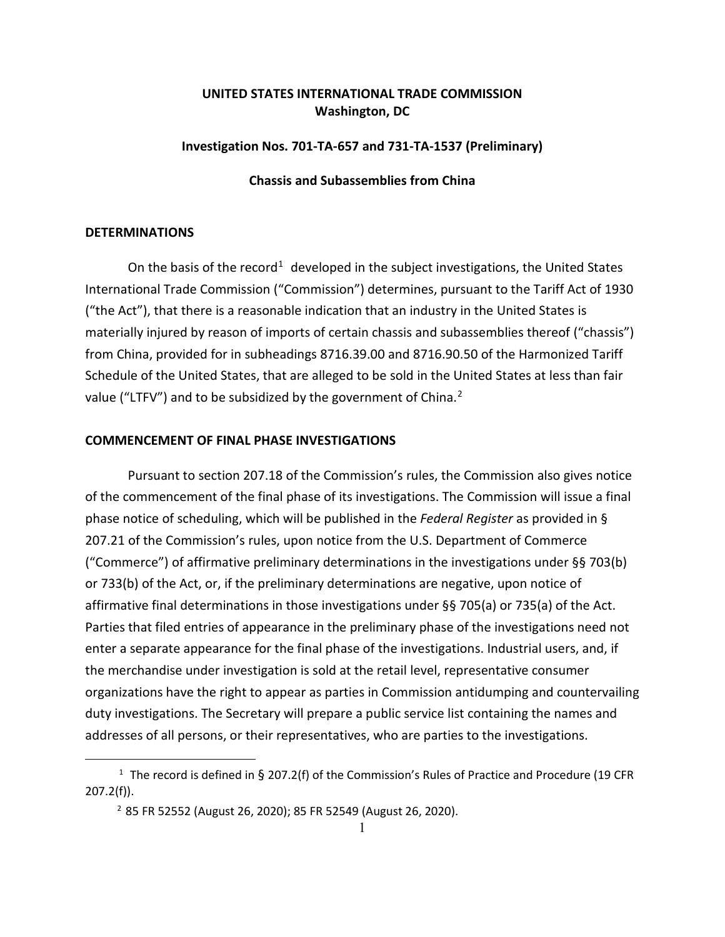# **UNITED STATES INTERNATIONAL TRADE COMMISSION Washington, DC**

### **Investigation Nos. 701-TA-657 and 731-TA-1537 (Preliminary)**

### **Chassis and Subassemblies from China**

## **DETERMINATIONS**

On the basis of the record<sup>[1](#page-0-0)</sup> developed in the subject investigations, the United States International Trade Commission ("Commission") determines, pursuant to the Tariff Act of 1930 ("the Act"), that there is a reasonable indication that an industry in the United States is materially injured by reason of imports of certain chassis and subassemblies thereof ("chassis") from China, provided for in subheadings 8716.39.00 and 8716.90.50 of the Harmonized Tariff Schedule of the United States, that are alleged to be sold in the United States at less than fair value ("LTFV") and to be subsidized by the government of China.<sup>[2](#page-0-1)</sup>

### **COMMENCEMENT OF FINAL PHASE INVESTIGATIONS**

Pursuant to section 207.18 of the Commission's rules, the Commission also gives notice of the commencement of the final phase of its investigations. The Commission will issue a final phase notice of scheduling, which will be published in the *Federal Register* as provided in § 207.21 of the Commission's rules, upon notice from the U.S. Department of Commerce ("Commerce") of affirmative preliminary determinations in the investigations under §§ 703(b) or 733(b) of the Act, or, if the preliminary determinations are negative, upon notice of affirmative final determinations in those investigations under §§ 705(a) or 735(a) of the Act. Parties that filed entries of appearance in the preliminary phase of the investigations need not enter a separate appearance for the final phase of the investigations. Industrial users, and, if the merchandise under investigation is sold at the retail level, representative consumer organizations have the right to appear as parties in Commission antidumping and countervailing duty investigations. The Secretary will prepare a public service list containing the names and addresses of all persons, or their representatives, who are parties to the investigations.

<span id="page-0-1"></span><span id="page-0-0"></span><sup>&</sup>lt;sup>1</sup> The record is defined in § 207.2(f) of the Commission's Rules of Practice and Procedure (19 CFR 207.2(f)).

<sup>2</sup> 85 FR 52552 (August 26, 2020); 85 FR 52549 (August 26, 2020).